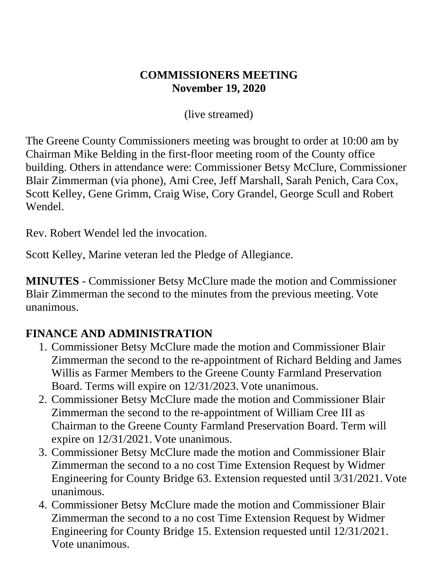#### **COMMISSIONERS MEETING November 19, 2020**

(live streamed)

The Greene County Commissioners meeting was brought to order at 10:00 am by Chairman Mike Belding in the first-floor meeting room of the County office building. Others in attendance were: Commissioner Betsy McClure, Commissioner Blair Zimmerman (via phone), Ami Cree, Jeff Marshall, Sarah Penich, Cara Cox, Scott Kelley, Gene Grimm, Craig Wise, Cory Grandel, George Scull and Robert Wendel.

Rev. Robert Wendel led the invocation.

Scott Kelley, Marine veteran led the Pledge of Allegiance.

**MINUTES** - Commissioner Betsy McClure made the motion and Commissioner Blair Zimmerman the second to the minutes from the previous meeting. Vote unanimous.

## **FINANCE AND ADMINISTRATION**

- 1. Commissioner Betsy McClure made the motion and Commissioner Blair Zimmerman the second to the re-appointment of Richard Belding and James Willis as Farmer Members to the Greene County Farmland Preservation Board. Terms will expire on 12/31/2023. Vote unanimous.
- 2. Commissioner Betsy McClure made the motion and Commissioner Blair Zimmerman the second to the re-appointment of William Cree III as Chairman to the Greene County Farmland Preservation Board. Term will expire on 12/31/2021. Vote unanimous.
- 3. Commissioner Betsy McClure made the motion and Commissioner Blair Zimmerman the second to a no cost Time Extension Request by Widmer Engineering for County Bridge 63. Extension requested until 3/31/2021. Vote unanimous.
- 4. Commissioner Betsy McClure made the motion and Commissioner Blair Zimmerman the second to a no cost Time Extension Request by Widmer Engineering for County Bridge 15. Extension requested until 12/31/2021. Vote unanimous.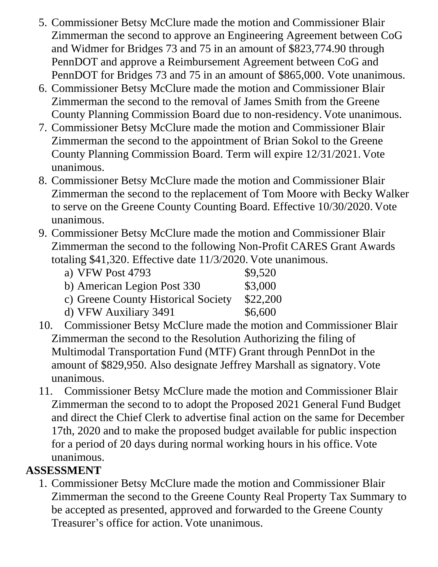- 5. Commissioner Betsy McClure made the motion and Commissioner Blair Zimmerman the second to approve an Engineering Agreement between CoG and Widmer for Bridges 73 and 75 in an amount of \$823,774.90 through PennDOT and approve a Reimbursement Agreement between CoG and PennDOT for Bridges 73 and 75 in an amount of \$865,000. Vote unanimous.
- 6. Commissioner Betsy McClure made the motion and Commissioner Blair Zimmerman the second to the removal of James Smith from the Greene County Planning Commission Board due to non-residency. Vote unanimous.
- 7. Commissioner Betsy McClure made the motion and Commissioner Blair Zimmerman the second to the appointment of Brian Sokol to the Greene County Planning Commission Board. Term will expire 12/31/2021. Vote unanimous.
- 8. Commissioner Betsy McClure made the motion and Commissioner Blair Zimmerman the second to the replacement of Tom Moore with Becky Walker to serve on the Greene County Counting Board. Effective 10/30/2020. Vote unanimous.
- 9. Commissioner Betsy McClure made the motion and Commissioner Blair Zimmerman the second to the following Non-Profit CARES Grant Awards totaling \$41,320. Effective date 11/3/2020. Vote unanimous.
	- a) VFW Post 4793 \$9,520 b) American Legion Post 330 \$3,000 c) Greene County Historical Society \$22,200 d) VFW Auxiliary  $3491$  \$6,600
- 10. Commissioner Betsy McClure made the motion and Commissioner Blair Zimmerman the second to the Resolution Authorizing the filing of Multimodal Transportation Fund (MTF) Grant through PennDot in the amount of \$829,950. Also designate Jeffrey Marshall as signatory. Vote unanimous.
- 11. Commissioner Betsy McClure made the motion and Commissioner Blair Zimmerman the second to to adopt the Proposed 2021 General Fund Budget and direct the Chief Clerk to advertise final action on the same for December 17th, 2020 and to make the proposed budget available for public inspection for a period of 20 days during normal working hours in his office. Vote unanimous.

#### **ASSESSMENT**

1. Commissioner Betsy McClure made the motion and Commissioner Blair Zimmerman the second to the Greene County Real Property Tax Summary to be accepted as presented, approved and forwarded to the Greene County Treasurer's office for action. Vote unanimous.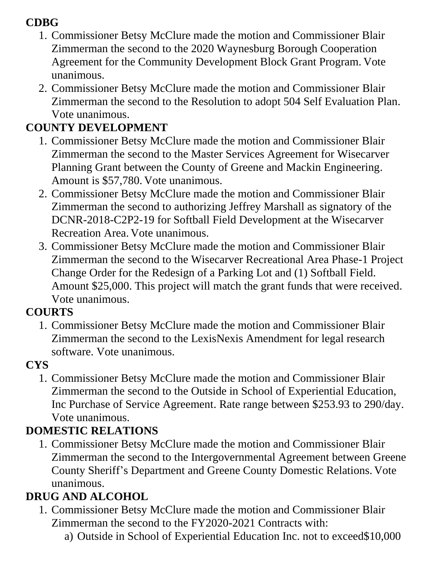## **CDBG**

- 1. Commissioner Betsy McClure made the motion and Commissioner Blair Zimmerman the second to the 2020 Waynesburg Borough Cooperation Agreement for the Community Development Block Grant Program. Vote unanimous.
- 2. Commissioner Betsy McClure made the motion and Commissioner Blair Zimmerman the second to the Resolution to adopt 504 Self Evaluation Plan. Vote unanimous.

## **COUNTY DEVELOPMENT**

- 1. Commissioner Betsy McClure made the motion and Commissioner Blair Zimmerman the second to the Master Services Agreement for Wisecarver Planning Grant between the County of Greene and Mackin Engineering. Amount is \$57,780. Vote unanimous.
- 2. Commissioner Betsy McClure made the motion and Commissioner Blair Zimmerman the second to authorizing Jeffrey Marshall as signatory of the DCNR-2018-C2P2-19 for Softball Field Development at the Wisecarver Recreation Area. Vote unanimous.
- 3. Commissioner Betsy McClure made the motion and Commissioner Blair Zimmerman the second to the Wisecarver Recreational Area Phase-1 Project Change Order for the Redesign of a Parking Lot and (1) Softball Field. Amount \$25,000. This project will match the grant funds that were received. Vote unanimous.

## **COURTS**

1. Commissioner Betsy McClure made the motion and Commissioner Blair Zimmerman the second to the LexisNexis Amendment for legal research software. Vote unanimous.

## **CYS**

1. Commissioner Betsy McClure made the motion and Commissioner Blair Zimmerman the second to the Outside in School of Experiential Education, Inc Purchase of Service Agreement. Rate range between \$253.93 to 290/day. Vote unanimous.

## **DOMESTIC RELATIONS**

1. Commissioner Betsy McClure made the motion and Commissioner Blair Zimmerman the second to the Intergovernmental Agreement between Greene County Sheriff's Department and Greene County Domestic Relations. Vote unanimous.

## **DRUG AND ALCOHOL**

- 1. Commissioner Betsy McClure made the motion and Commissioner Blair Zimmerman the second to the FY2020-2021 Contracts with:
	- a) Outside in School of Experiential Education Inc. not to exceed\$10,000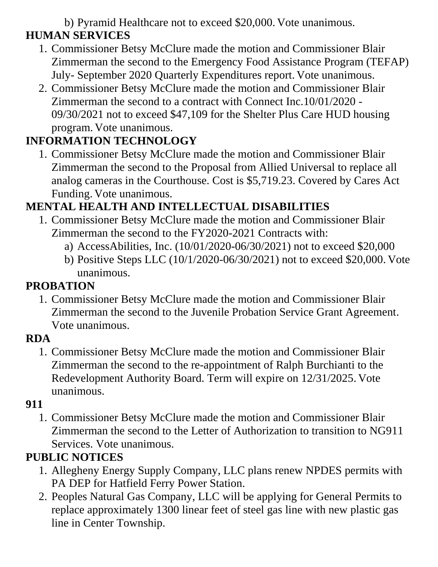#### b) Pyramid Healthcare not to exceed \$20,000. Vote unanimous. **HUMAN SERVICES**

- 1. Commissioner Betsy McClure made the motion and Commissioner Blair Zimmerman the second to the Emergency Food Assistance Program (TEFAP) July- September 2020 Quarterly Expenditures report. Vote unanimous.
- 2. Commissioner Betsy McClure made the motion and Commissioner Blair Zimmerman the second to a contract with Connect Inc.10/01/2020 - 09/30/2021 not to exceed \$47,109 for the Shelter Plus Care HUD housing program. Vote unanimous.

# **INFORMATION TECHNOLOGY**

1. Commissioner Betsy McClure made the motion and Commissioner Blair Zimmerman the second to the Proposal from Allied Universal to replace all analog cameras in the Courthouse. Cost is \$5,719.23. Covered by Cares Act Funding. Vote unanimous.

## **MENTAL HEALTH AND INTELLECTUAL DISABILITIES**

- 1. Commissioner Betsy McClure made the motion and Commissioner Blair Zimmerman the second to the FY2020-2021 Contracts with:
	- a) AccessAbilities, Inc. (10/01/2020-06/30/2021) not to exceed \$20,000
	- b) Positive Steps LLC (10/1/2020-06/30/2021) not to exceed \$20,000. Vote unanimous.

## **PROBATION**

1. Commissioner Betsy McClure made the motion and Commissioner Blair Zimmerman the second to the Juvenile Probation Service Grant Agreement. Vote unanimous.

#### **RDA**

1. Commissioner Betsy McClure made the motion and Commissioner Blair Zimmerman the second to the re-appointment of Ralph Burchianti to the Redevelopment Authority Board. Term will expire on 12/31/2025. Vote unanimous.

## **911**

1. Commissioner Betsy McClure made the motion and Commissioner Blair Zimmerman the second to the Letter of Authorization to transition to NG911 Services. Vote unanimous.

## **PUBLIC NOTICES**

- 1. Allegheny Energy Supply Company, LLC plans renew NPDES permits with PA DEP for Hatfield Ferry Power Station.
- 2. Peoples Natural Gas Company, LLC will be applying for General Permits to replace approximately 1300 linear feet of steel gas line with new plastic gas line in Center Township.